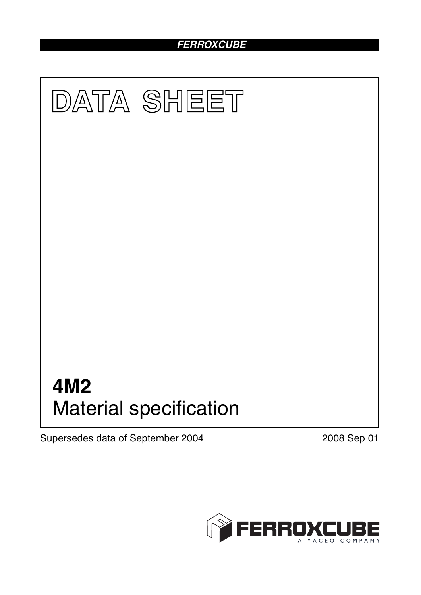# *FERROXCUBE*



Supersedes data of September 2004 2008 Sep 01

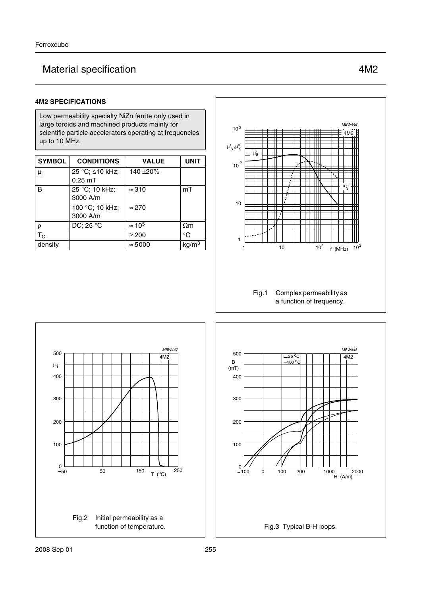# Material specification **4M2**

## **4M2 SPECIFICATIONS**

Low permeability specialty NiZn ferrite only used in large toroids and machined products mainly for scientific particle accelerators operating at frequencies up to 10 MHz.

| <b>SYMBOL</b> | <b>CONDITIONS</b>            | <b>VALUE</b>   | <b>UNIT</b>       |
|---------------|------------------------------|----------------|-------------------|
| $\mu_i$       | 25 °C; ≤10 kHz;<br>$0.25$ mT | 140 ±20%       |                   |
| B             | 25 °C; 10 kHz;<br>3000 A/m   | $\approx$ 310  | mT                |
|               | 100 °C; 10 kHz;<br>3000 A/m  | $\approx$ 270  |                   |
| $\rho$        | DC; 25 °C                    | $\approx 10^5$ | $\Omega$ m        |
| $T_{\rm C}$   |                              | $\geq 200$     | $^{\circ}C$       |
| density       |                              | $\approx 5000$ | kg/m <sup>3</sup> |